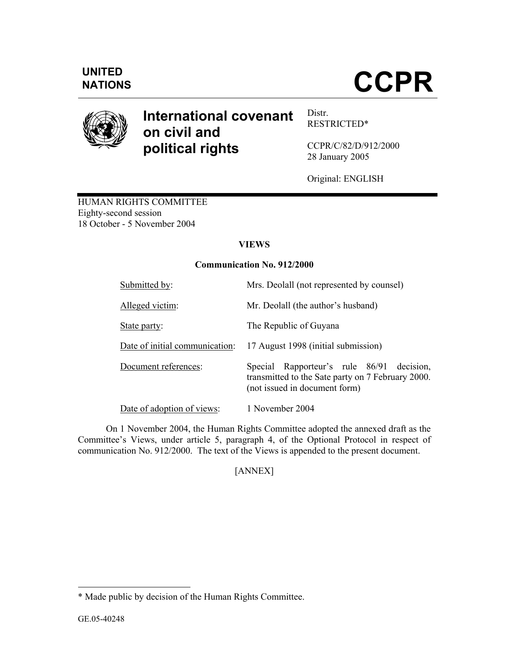

# **International covenant on civil and political rights**

Distr. RESTRICTED\*

CCPR/C/82/D/912/2000 28 January 2005

Original: ENGLISH

HUMAN RIGHTS COMMITTEE Eighty-second session 18 October - 5 November 2004

## **VIEWS**

## **Communication No. 912/2000**

| Submitted by:                  | Mrs. Deolall (not represented by counsel)                                                                                       |
|--------------------------------|---------------------------------------------------------------------------------------------------------------------------------|
| Alleged victim:                | Mr. Deolall (the author's husband)                                                                                              |
| State party:                   | The Republic of Guyana                                                                                                          |
| Date of initial communication: | 17 August 1998 (initial submission)                                                                                             |
| Document references:           | Special Rapporteur's rule 86/91 decision,<br>transmitted to the Sate party on 7 February 2000.<br>(not issued in document form) |
| Date of adoption of views:     | 1 November 2004                                                                                                                 |

On 1 November 2004, the Human Rights Committee adopted the annexed draft as the Committee's Views, under article 5, paragraph 4, of the Optional Protocol in respect of communication No. 912/2000. The text of the Views is appended to the present document.

[ANNEX]

-

<sup>\*</sup> Made public by decision of the Human Rights Committee.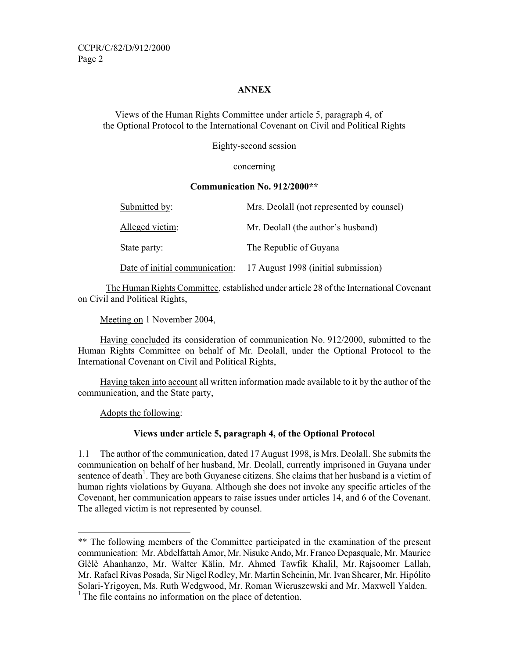#### **ANNEX**

Views of the Human Rights Committee under article 5, paragraph 4, of the Optional Protocol to the International Covenant on Civil and Political Rights

Eighty-second session

#### concerning

#### **Communication No. 912/2000\*\***

| Submitted by:                  | Mrs. Deolall (not represented by counsel) |
|--------------------------------|-------------------------------------------|
| Alleged victim:                | Mr. Deolall (the author's husband)        |
| State party:                   | The Republic of Guyana                    |
| Date of initial communication: | 17 August 1998 (initial submission)       |

The Human Rights Committee, established under article 28 of the International Covenant on Civil and Political Rights,

Meeting on 1 November 2004,

 Having concluded its consideration of communication No. 912/2000, submitted to the Human Rights Committee on behalf of Mr. Deolall, under the Optional Protocol to the International Covenant on Civil and Political Rights,

 Having taken into account all written information made available to it by the author of the communication, and the State party,

Adopts the following:

-

## **Views under article 5, paragraph 4, of the Optional Protocol**

1.1 The author of the communication, dated 17 August 1998, is Mrs. Deolall. She submits the communication on behalf of her husband, Mr. Deolall, currently imprisoned in Guyana under sentence of death<sup>1</sup>. They are both Guyanese citizens. She claims that her husband is a victim of human rights violations by Guyana. Although she does not invoke any specific articles of the Covenant, her communication appears to raise issues under articles 14, and 6 of the Covenant. The alleged victim is not represented by counsel.

<sup>\*\*</sup> The following members of the Committee participated in the examination of the present communication: Mr. Abdelfattah Amor, Mr. Nisuke Ando, Mr. Franco Depasquale, Mr. Maurice Glèlè Ahanhanzo, Mr. Walter Kälin, Mr. Ahmed Tawfik Khalil, Mr. Rajsoomer Lallah, Mr. Rafael Rivas Posada, Sir Nigel Rodley, Mr. Martin Scheinin, Mr. Ivan Shearer, Mr. Hipólito Solari-Yrigoyen, Ms. Ruth Wedgwood, Mr. Roman Wieruszewski and Mr. Maxwell Yalden.  $<sup>1</sup>$  The file contains no information on the place of detention.</sup>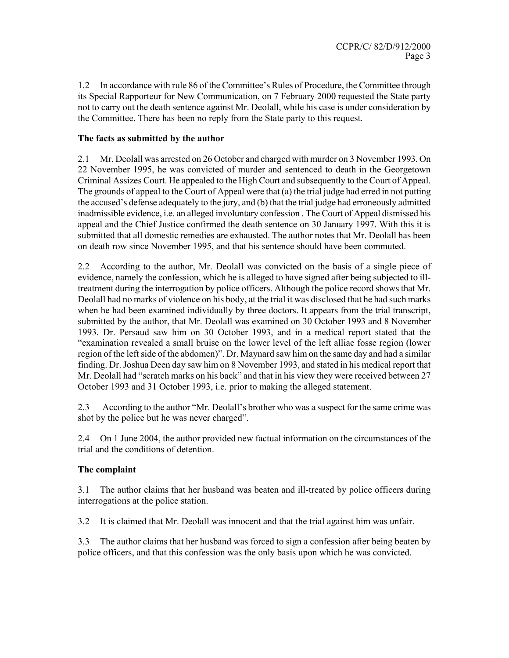In accordance with rule 86 of the Committee's Rules of Procedure, the Committee through its Special Rapporteur for New Communication, on 7 February 2000 requested the State party not to carry out the death sentence against Mr. Deolall, while his case is under consideration by the Committee. There has been no reply from the State party to this request.

### **The facts as submitted by the author**

2.1 Mr. Deolall was arrested on 26 October and charged with murder on 3 November 1993. On 22 November 1995, he was convicted of murder and sentenced to death in the Georgetown Criminal Assizes Court. He appealed to the High Court and subsequently to the Court of Appeal. The grounds of appeal to the Court of Appeal were that (a) the trial judge had erred in not putting the accused's defense adequately to the jury, and (b) that the trial judge had erroneously admitted inadmissible evidence, i.e. an alleged involuntary confession . The Court of Appeal dismissed his appeal and the Chief Justice confirmed the death sentence on 30 January 1997. With this it is submitted that all domestic remedies are exhausted. The author notes that Mr. Deolall has been on death row since November 1995, and that his sentence should have been commuted.

2.2 According to the author, Mr. Deolall was convicted on the basis of a single piece of evidence, namely the confession, which he is alleged to have signed after being subjected to illtreatment during the interrogation by police officers. Although the police record shows that Mr. Deolall had no marks of violence on his body, at the trial it was disclosed that he had such marks when he had been examined individually by three doctors. It appears from the trial transcript, submitted by the author, that Mr. Deolall was examined on 30 October 1993 and 8 November 1993. Dr. Persaud saw him on 30 October 1993, and in a medical report stated that the "examination revealed a small bruise on the lower level of the left alliae fosse region (lower region of the left side of the abdomen)". Dr. Maynard saw him on the same day and had a similar finding. Dr. Joshua Deen day saw him on 8 November 1993, and stated in his medical report that Mr. Deolall had "scratch marks on his back" and that in his view they were received between 27 October 1993 and 31 October 1993, i.e. prior to making the alleged statement.

2.3 According to the author "Mr. Deolall's brother who was a suspect for the same crime was shot by the police but he was never charged".

2.4 On 1 June 2004, the author provided new factual information on the circumstances of the trial and the conditions of detention.

## **The complaint**

3.1 The author claims that her husband was beaten and ill-treated by police officers during interrogations at the police station.

3.2 It is claimed that Mr. Deolall was innocent and that the trial against him was unfair.

3.3 The author claims that her husband was forced to sign a confession after being beaten by police officers, and that this confession was the only basis upon which he was convicted.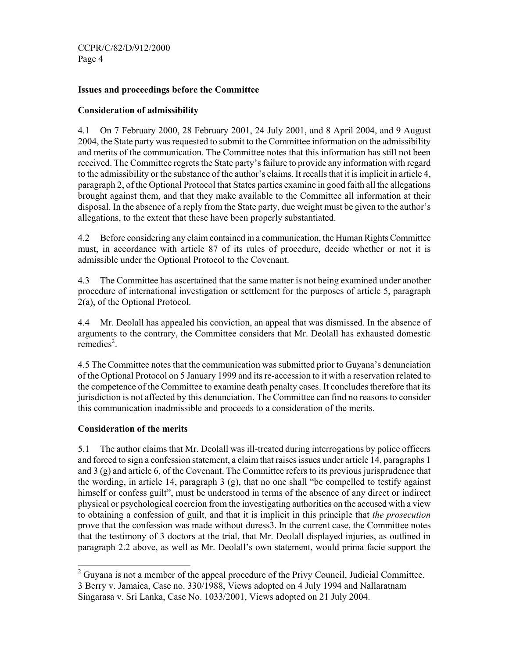CCPR/C/82/D/912/2000 Page 4

### **Issues and proceedings before the Committee**

#### **Consideration of admissibility**

4.1 On 7 February 2000, 28 February 2001, 24 July 2001, and 8 April 2004, and 9 August 2004, the State party was requested to submit to the Committee information on the admissibility and merits of the communication. The Committee notes that this information has still not been received. The Committee regrets the State party's failure to provide any information with regard to the admissibility or the substance of the author's claims. It recalls that it is implicit in article 4, paragraph 2, of the Optional Protocol that States parties examine in good faith all the allegations brought against them, and that they make available to the Committee all information at their disposal. In the absence of a reply from the State party, due weight must be given to the author's allegations, to the extent that these have been properly substantiated.

4.2 Before considering any claim contained in a communication, the Human Rights Committee must, in accordance with article 87 of its rules of procedure, decide whether or not it is admissible under the Optional Protocol to the Covenant.

4.3 The Committee has ascertained that the same matter is not being examined under another procedure of international investigation or settlement for the purposes of article 5, paragraph 2(a), of the Optional Protocol.

4.4 Mr. Deolall has appealed his conviction, an appeal that was dismissed. In the absence of arguments to the contrary, the Committee considers that Mr. Deolall has exhausted domestic  $remedies<sup>2</sup>$ .

4.5 The Committee notes that the communication was submitted prior to Guyana's denunciation of the Optional Protocol on 5 January 1999 and its re-accession to it with a reservation related to the competence of the Committee to examine death penalty cases. It concludes therefore that its jurisdiction is not affected by this denunciation. The Committee can find no reasons to consider this communication inadmissible and proceeds to a consideration of the merits.

#### **Consideration of the merits**

5.1 The author claims that Mr. Deolall was ill-treated during interrogations by police officers and forced to sign a confession statement, a claim that raises issues under article 14, paragraphs 1 and 3 (g) and article 6, of the Covenant. The Committee refers to its previous jurisprudence that the wording, in article 14, paragraph 3 (g), that no one shall "be compelled to testify against himself or confess guilt", must be understood in terms of the absence of any direct or indirect physical or psychological coercion from the investigating authorities on the accused with a view to obtaining a confession of guilt, and that it is implicit in this principle that *the prosecution* prove that the confession was made without duress3. In the current case, the Committee notes that the testimony of 3 doctors at the trial, that Mr. Deolall displayed injuries, as outlined in paragraph 2.2 above, as well as Mr. Deolall's own statement, would prima facie support the

<sup>-</sup> $2^2$  Guyana is not a member of the appeal procedure of the Privy Council, Judicial Committee. 3 Berry v. Jamaica, Case no. 330/1988, Views adopted on 4 July 1994 and Nallaratnam Singarasa v. Sri Lanka, Case No. 1033/2001, Views adopted on 21 July 2004.